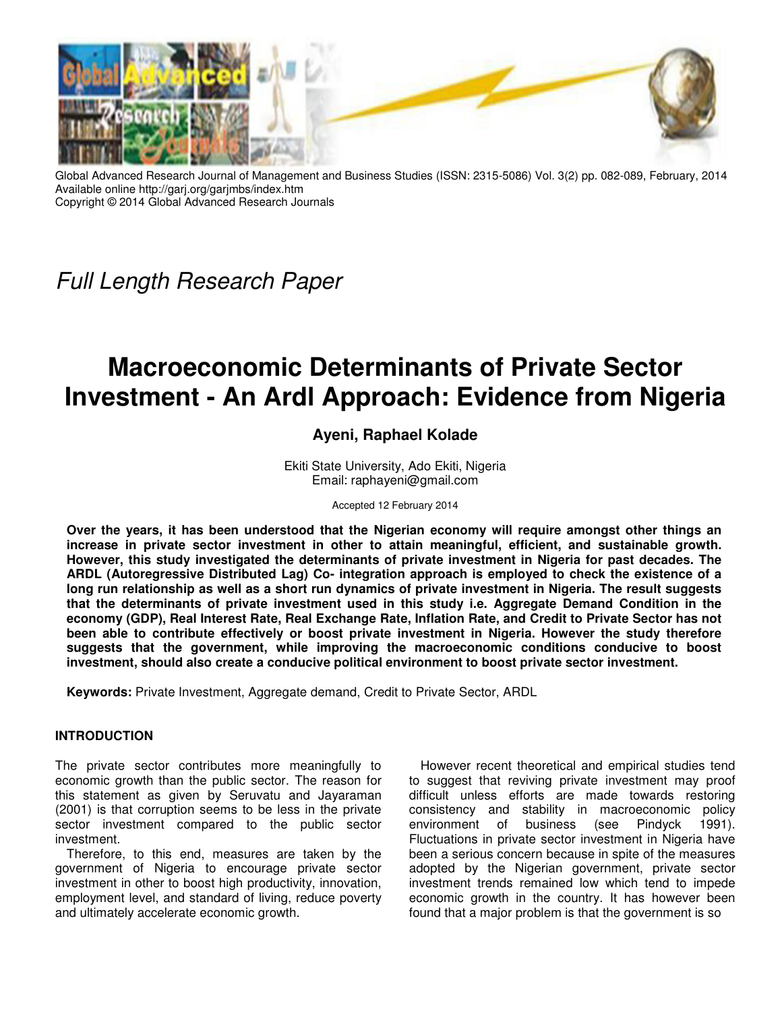

Global Advanced Research Journal of Management and Business Studies (ISSN: 2315-5086) Vol. 3(2) pp. 082-089, February, 2014 Available online http://garj.org/garjmbs/index.htm Copyright © 2014 Global Advanced Research Journals

Full Length Research Paper

# **Macroeconomic Determinants of Private Sector Investment - An Ardl Approach: Evidence from Nigeria**

# **Ayeni, Raphael Kolade**

Ekiti State University, Ado Ekiti, Nigeria Email: raphayeni@gmail.com

Accepted 12 February 2014

**Over the years, it has been understood that the Nigerian economy will require amongst other things an increase in private sector investment in other to attain meaningful, efficient, and sustainable growth. However, this study investigated the determinants of private investment in Nigeria for past decades. The ARDL (Autoregressive Distributed Lag) Co- integration approach is employed to check the existence of a long run relationship as well as a short run dynamics of private investment in Nigeria. The result suggests that the determinants of private investment used in this study i.e. Aggregate Demand Condition in the economy (GDP), Real Interest Rate, Real Exchange Rate, Inflation Rate, and Credit to Private Sector has not been able to contribute effectively or boost private investment in Nigeria. However the study therefore suggests that the government, while improving the macroeconomic conditions conducive to boost investment, should also create a conducive political environment to boost private sector investment.** 

**Keywords:** Private Investment, Aggregate demand, Credit to Private Sector, ARDL

## **INTRODUCTION**

The private sector contributes more meaningfully to economic growth than the public sector. The reason for this statement as given by Seruvatu and Jayaraman (2001) is that corruption seems to be less in the private sector investment compared to the public sector investment.

Therefore, to this end, measures are taken by the government of Nigeria to encourage private sector investment in other to boost high productivity, innovation, employment level, and standard of living, reduce poverty and ultimately accelerate economic growth.

However recent theoretical and empirical studies tend to suggest that reviving private investment may proof difficult unless efforts are made towards restoring consistency and stability in macroeconomic policy environment of business (see Pindyck 1991). Fluctuations in private sector investment in Nigeria have been a serious concern because in spite of the measures adopted by the Nigerian government, private sector investment trends remained low which tend to impede economic growth in the country. It has however been found that a major problem is that the government is so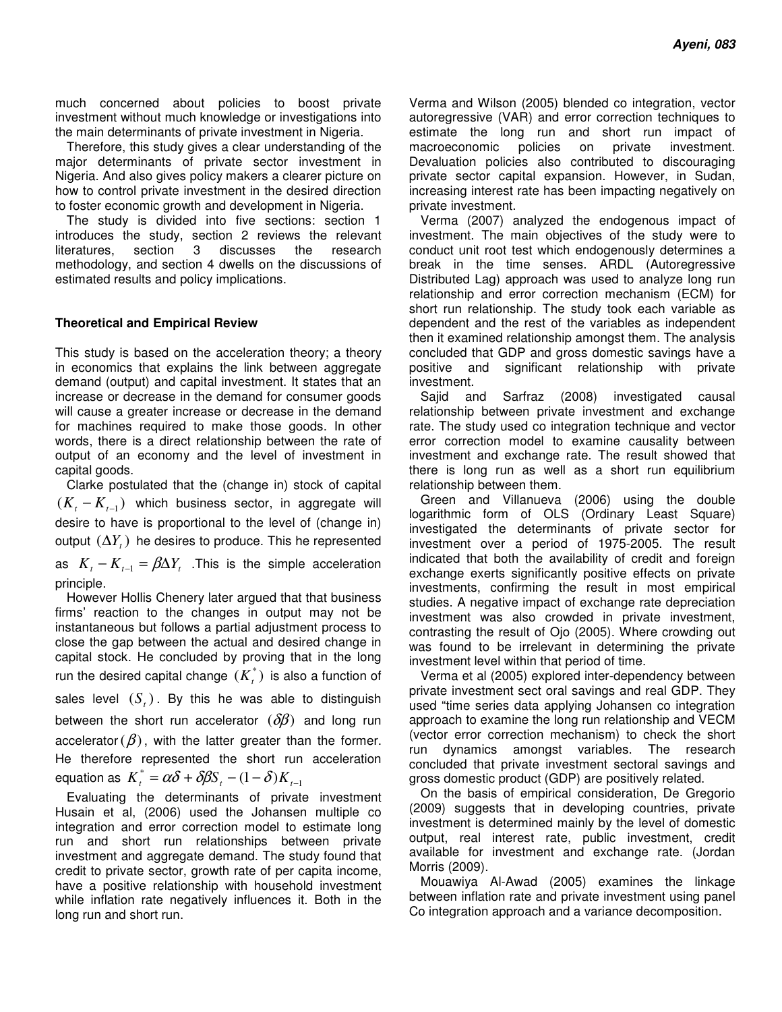much concerned about policies to boost private investment without much knowledge or investigations into the main determinants of private investment in Nigeria.

Therefore, this study gives a clear understanding of the major determinants of private sector investment in Nigeria. And also gives policy makers a clearer picture on how to control private investment in the desired direction to foster economic growth and development in Nigeria.

The study is divided into five sections: section 1 introduces the study, section 2 reviews the relevant literatures, section 3 discusses the research methodology, and section 4 dwells on the discussions of estimated results and policy implications.

#### **Theoretical and Empirical Review**

This study is based on the acceleration theory; a theory in economics that explains the link between aggregate demand (output) and capital investment. It states that an increase or decrease in the demand for consumer goods will cause a greater increase or decrease in the demand for machines required to make those goods. In other words, there is a direct relationship between the rate of output of an economy and the level of investment in capital goods.

Clarke postulated that the (change in) stock of capital  $(K<sub>t</sub> - K<sub>t-1</sub>)$  which business sector, in aggregate will desire to have is proportional to the level of (change in) output  $(\Delta Y_{t})$  he desires to produce. This he represented as  $K_{t} - K_{t-1} = \beta \Delta Y_{t}$ . This is the simple acceleration principle.

However Hollis Chenery later argued that that business firms' reaction to the changes in output may not be instantaneous but follows a partial adjustment process to close the gap between the actual and desired change in capital stock. He concluded by proving that in the long run the desired capital change  $(K_t^*)$  is also a function of sales level  $(S_t)$ . By this he was able to distinguish between the short run accelerator  $(\delta \beta)$  and long run accelerator ( $\beta$ ), with the latter greater than the former. He therefore represented the short run acceleration equation as  $K_t^* = \alpha \delta + \delta \beta S_t - (1 - \delta) K_{t-1}$ 

Evaluating the determinants of private investment Husain et al, (2006) used the Johansen multiple co integration and error correction model to estimate long run and short run relationships between private investment and aggregate demand. The study found that credit to private sector, growth rate of per capita income, have a positive relationship with household investment while inflation rate negatively influences it. Both in the long run and short run.

Verma and Wilson (2005) blended co integration, vector autoregressive (VAR) and error correction techniques to estimate the long run and short run impact of macroeconomic policies on private investment. Devaluation policies also contributed to discouraging private sector capital expansion. However, in Sudan, increasing interest rate has been impacting negatively on private investment.

Verma (2007) analyzed the endogenous impact of investment. The main objectives of the study were to conduct unit root test which endogenously determines a break in the time senses. ARDL (Autoregressive Distributed Lag) approach was used to analyze long run relationship and error correction mechanism (ECM) for short run relationship. The study took each variable as dependent and the rest of the variables as independent then it examined relationship amongst them. The analysis concluded that GDP and gross domestic savings have a positive and significant relationship with private investment.

Sajid and Sarfraz (2008) investigated causal relationship between private investment and exchange rate. The study used co integration technique and vector error correction model to examine causality between investment and exchange rate. The result showed that there is long run as well as a short run equilibrium relationship between them.

Green and Villanueva (2006) using the double logarithmic form of OLS (Ordinary Least Square) investigated the determinants of private sector for investment over a period of 1975-2005. The result indicated that both the availability of credit and foreign exchange exerts significantly positive effects on private investments, confirming the result in most empirical studies. A negative impact of exchange rate depreciation investment was also crowded in private investment, contrasting the result of Ojo (2005). Where crowding out was found to be irrelevant in determining the private investment level within that period of time.

Verma et al (2005) explored inter-dependency between private investment sect oral savings and real GDP. They used "time series data applying Johansen co integration approach to examine the long run relationship and VECM (vector error correction mechanism) to check the short run dynamics amongst variables. The research concluded that private investment sectoral savings and gross domestic product (GDP) are positively related.

On the basis of empirical consideration, De Gregorio (2009) suggests that in developing countries, private investment is determined mainly by the level of domestic output, real interest rate, public investment, credit available for investment and exchange rate. (Jordan Morris (2009).

Mouawiya Al-Awad (2005) examines the linkage between inflation rate and private investment using panel Co integration approach and a variance decomposition.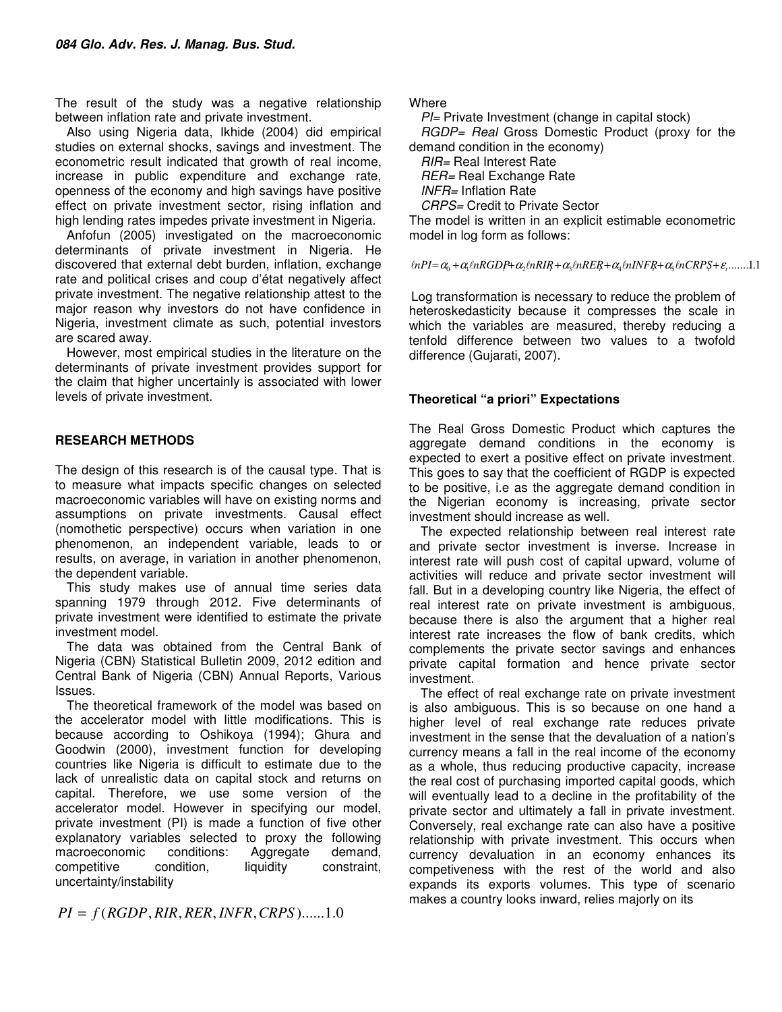The result of the study was a negative relationship between inflation rate and private investment.

Also using Nigeria data, Ikhide (2004) did empirical studies on external shocks, savings and investment. The econometric result indicated that growth of real income, increase in public expenditure and exchange rate, openness of the economy and high savings have positive effect on private investment sector, rising inflation and high lending rates impedes private investment in Nigeria.

Anfofun (2005) investigated on the macroeconomic determinants of private investment in Nigeria. He discovered that external debt burden, inflation, exchange rate and political crises and coup d'état negatively affect private investment. The negative relationship attest to the major reason why investors do not have confidence in Nigeria, investment climate as such, potential investors are scared away.

However, most empirical studies in the literature on the determinants of private investment provides support for the claim that higher uncertainly is associated with lower levels of private investment.

# **RESEARCH METHODS**

The design of this research is of the causal type. That is to measure what impacts specific changes on selected macroeconomic variables will have on existing norms and assumptions on private investments. Causal effect (nomothetic perspective) occurs when variation in one phenomenon, an independent variable, leads to or results, on average, in variation in another phenomenon, the dependent variable.

This study makes use of annual time series data spanning 1979 through 2012. Five determinants of private investment were identified to estimate the private investment model.

The data was obtained from the Central Bank of Nigeria (CBN) Statistical Bulletin 2009, 2012 edition and Central Bank of Nigeria (CBN) Annual Reports, Various Issues.

The theoretical framework of the model was based on the accelerator model with little modifications. This is because according to Oshikoya (1994); Ghura and Goodwin (2000), investment function for developing countries like Nigeria is difficult to estimate due to the lack of unrealistic data on capital stock and returns on capital. Therefore, we use some version of the accelerator model. However in specifying our model, private investment (PI) is made a function of five other explanatory variables selected to proxy the following macroeconomic conditions: Aggregate demand, competitive condition, liquidity constraint, uncertainty/instability

 $PI = f(RGDP, RIR, RER, INFR, CRPS)$ ......1.0

**Where** 

 $PI=$  Private Investment (change in capital stock)

RGDP= Real Gross Domestic Product (proxy for the demand condition in the economy)

RIR= Real Interest Rate

RER= Real Exchange Rate

INFR= Inflation Rate

CRPS= Credit to Private Sector

The model is written in an explicit estimable econometric model in log form as follows:

 $lnPI = \alpha_0 + \alpha_1 lnRGDP + \alpha_2 lnRIR + \alpha_3 lnRER + \alpha_4 lnINFR + \alpha_5 lnCRPS + \varepsilon_1 ......1.1$ 

Log transformation is necessary to reduce the problem of heteroskedasticity because it compresses the scale in which the variables are measured, thereby reducing a tenfold difference between two values to a twofold difference (Gujarati, 2007).

# **Theoretical "a priori" Expectations**

The Real Gross Domestic Product which captures the aggregate demand conditions in the economy is expected to exert a positive effect on private investment. This goes to say that the coefficient of RGDP is expected to be positive, i.e as the aggregate demand condition in the Nigerian economy is increasing, private sector investment should increase as well.

The expected relationship between real interest rate and private sector investment is inverse. Increase in interest rate will push cost of capital upward, volume of activities will reduce and private sector investment will fall. But in a developing country like Nigeria, the effect of real interest rate on private investment is ambiguous, because there is also the argument that a higher real interest rate increases the flow of bank credits, which complements the private sector savings and enhances private capital formation and hence private sector investment.

The effect of real exchange rate on private investment is also ambiguous. This is so because on one hand a higher level of real exchange rate reduces private investment in the sense that the devaluation of a nation's currency means a fall in the real income of the economy as a whole, thus reducing productive capacity, increase the real cost of purchasing imported capital goods, which will eventually lead to a decline in the profitability of the private sector and ultimately a fall in private investment. Conversely, real exchange rate can also have a positive relationship with private investment. This occurs when currency devaluation in an economy enhances its competiveness with the rest of the world and also expands its exports volumes. This type of scenario makes a country looks inward, relies majorly on its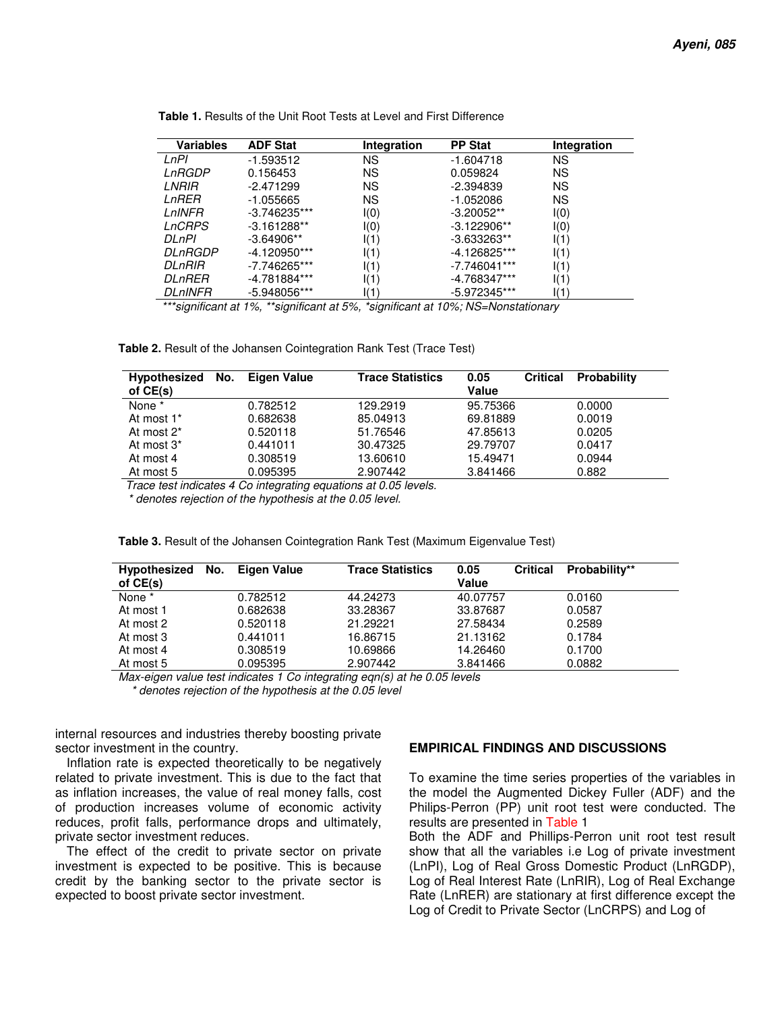| <b>Variables</b> | <b>ADF Stat</b> | Integration | <b>PP Stat</b> | Integration |
|------------------|-----------------|-------------|----------------|-------------|
| LnPl             | $-1.593512$     | ΝS          | $-1.604718$    | ΝS          |
| LnRGDP           | 0.156453        | ΝS          | 0.059824       | ΝS          |
| LNRIR            | $-2.471299$     | ΝS          | $-2.394839$    | ΝS          |
| LnRER            | $-1.055665$     | ΝS          | $-1.052086$    | ΝS          |
| LnINFR           | $-3.746235***$  | I(0)        | $-3.20052**$   | I(0)        |
| <i>LnCRPS</i>    | $-3.161288**$   | I(0)        | $-3.122906**$  | I(0)        |
| <b>DLnPI</b>     | $-3.64906**$    | I(1)        | $-3.633263**$  | I(1)        |
| DLnRGDP          | -4.120950***    | I(1)        | -4.126825***   | I(1)        |
| DLnRIR           | -7.746265***    | I(1)        | $-7.746041***$ | I(1)        |
| <i>DLnRER</i>    | -4.781884***    | I(1)        | -4.768347***   | I(1)        |
| <i>DLnINFR</i>   | -5.948056***    | I(1)        | -5.972345***   | I(1)        |

**Table 1.** Results of the Unit Root Tests at Level and First Difference

\*\*\*significant at 1%, \*\*significant at 5%, \*significant at 10%; NS=Nonstationary

**Table 2.** Result of the Johansen Cointegration Rank Test (Trace Test)

| <b>Hypothesized</b><br>of $CE(s)$ | No. | Eigen Value | <b>Trace Statistics</b> | 0.05<br>Value | <b>Critical</b> | Probability |  |
|-----------------------------------|-----|-------------|-------------------------|---------------|-----------------|-------------|--|
| None *                            |     | 0.782512    | 129.2919                | 95.75366      |                 | 0.0000      |  |
| At most 1*                        |     | 0.682638    | 85.04913                | 69.81889      |                 | 0.0019      |  |
| At most 2 <sup>*</sup>            |     | 0.520118    | 51.76546                | 47.85613      |                 | 0.0205      |  |
| At most 3 <sup>*</sup>            |     | 0.441011    | 30.47325                | 29.79707      |                 | 0.0417      |  |
| At most 4                         |     | 0.308519    | 13.60610                | 15.49471      |                 | 0.0944      |  |
| At most 5                         |     | 0.095395    | 2.907442                | 3.841466      |                 | 0.882       |  |

Trace test indicates 4 Co integrating equations at 0.05 levels.

\* denotes rejection of the hypothesis at the 0.05 level.

| <b>Hypothesized</b><br>of CE(s) | No. | Eigen Value | <b>Trace Statistics</b> | 0.05<br>Value | <b>Critical</b> | Probability** |
|---------------------------------|-----|-------------|-------------------------|---------------|-----------------|---------------|
| None *                          |     | 0.782512    | 44.24273                | 40.07757      |                 | 0.0160        |
| At most 1                       |     | 0.682638    | 33.28367                | 33.87687      |                 | 0.0587        |
| At most 2                       |     | 0.520118    | 21.29221                | 27.58434      |                 | 0.2589        |
| At most 3                       |     | 0.441011    | 16.86715                | 21.13162      |                 | 0.1784        |
| At most 4                       |     | 0.308519    | 10.69866                | 14.26460      |                 | 0.1700        |
| At most 5                       |     | 0.095395    | 2.907442                | 3.841466      |                 | 0.0882        |

**Table 3.** Result of the Johansen Cointegration Rank Test (Maximum Eigenvalue Test)

Max-eigen value test indicates 1 Co integrating eqn(s) at he 0.05 levels

\* denotes rejection of the hypothesis at the 0.05 level

internal resources and industries thereby boosting private sector investment in the country.

Inflation rate is expected theoretically to be negatively related to private investment. This is due to the fact that as inflation increases, the value of real money falls, cost of production increases volume of economic activity reduces, profit falls, performance drops and ultimately, private sector investment reduces.

The effect of the credit to private sector on private investment is expected to be positive. This is because credit by the banking sector to the private sector is expected to boost private sector investment.

#### **EMPIRICAL FINDINGS AND DISCUSSIONS**

To examine the time series properties of the variables in the model the Augmented Dickey Fuller (ADF) and the Philips-Perron (PP) unit root test were conducted. The results are presented in Table 1

Both the ADF and Phillips-Perron unit root test result show that all the variables i.e Log of private investment (LnPI), Log of Real Gross Domestic Product (LnRGDP), Log of Real Interest Rate (LnRIR), Log of Real Exchange Rate (LnRER) are stationary at first difference except the Log of Credit to Private Sector (LnCRPS) and Log of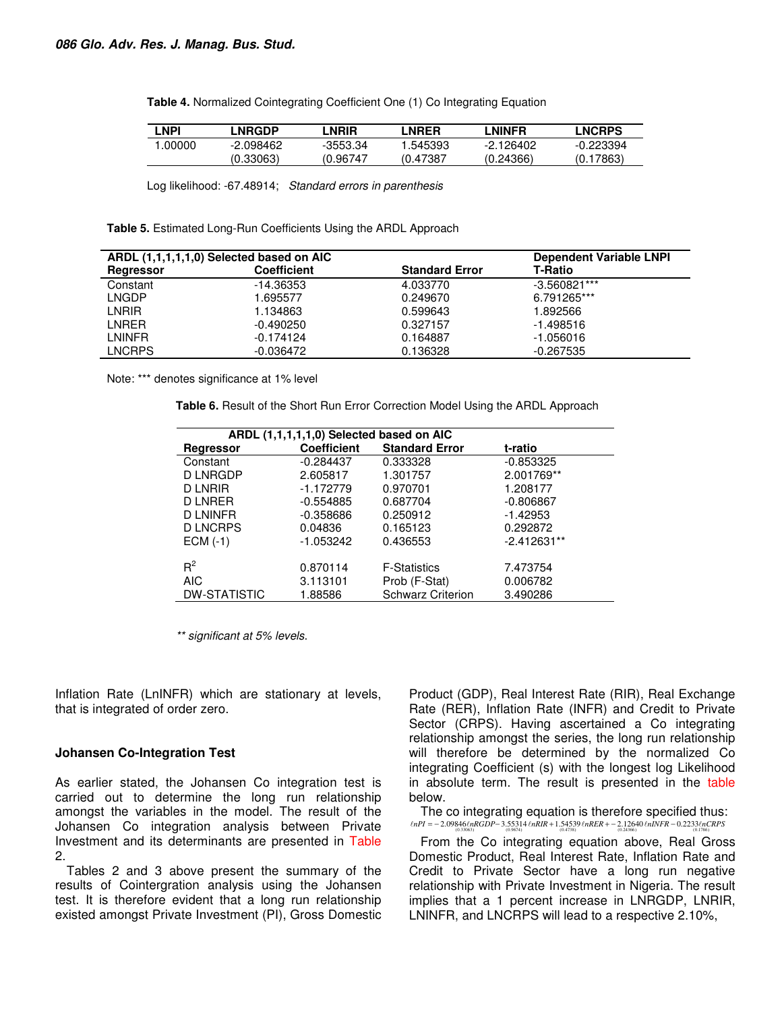| <b>Table 4.</b> Normalized Cointegrating Coefficient One (1) Co Integrating Equation |  |  |  |
|--------------------------------------------------------------------------------------|--|--|--|
|--------------------------------------------------------------------------------------|--|--|--|

| ∣ NPI  | _NRGDP    | _NRIR    | _NRER    | LNINFR    | <b>LNCRPS</b> |
|--------|-----------|----------|----------|-----------|---------------|
| .00000 | -2.098462 | -3553.34 | .545393  | -2.126402 | -0.223394     |
|        | (0.33063) | (0.96747 | (0.47387 | (0.24366) | (0.17863)     |

Log likelihood: -67.48914; Standard errors in parenthesis

**Table 5.** Estimated Long-Run Coefficients Using the ARDL Approach

| ARDL (1,1,1,1,1,0) Selected based on AIC |                    |                       | <b>Dependent Variable LNPI</b> |
|------------------------------------------|--------------------|-----------------------|--------------------------------|
| Regressor                                | <b>Coefficient</b> | <b>Standard Error</b> | <b>T-Ratio</b>                 |
| Constant                                 | $-14.36353$        | 4.033770              | $-3.560821***$                 |
| LNGDP                                    | 1.695577           | 0.249670              | 6.791265***                    |
| LNRIR                                    | 1.134863           | 0.599643              | 1.892566                       |
| LNRER                                    | $-0.490250$        | 0.327157              | -1.498516                      |
| I NINFR                                  | $-0.174124$        | 0.164887              | $-1.056016$                    |
| <b>LNCRPS</b>                            | -0.036472          | 0.136328              | $-0.267535$                    |

Note: \*\*\* denotes significance at 1% level

**Table 6.** Result of the Short Run Error Correction Model Using the ARDL Approach

| ARDL (1,1,1,1,1,0) Selected based on AIC |                    |                          |               |  |  |  |  |
|------------------------------------------|--------------------|--------------------------|---------------|--|--|--|--|
| Regressor                                | <b>Coefficient</b> | <b>Standard Error</b>    | t-ratio       |  |  |  |  |
| Constant                                 | $-0.284437$        | 0.333328                 | $-0.853325$   |  |  |  |  |
| D LNRGDP                                 | 2.605817           | 1.301757                 | 2.001769**    |  |  |  |  |
| <b>D LNRIR</b>                           | $-1.172779$        | 0.970701                 | 1.208177      |  |  |  |  |
| <b>D LNRER</b>                           | $-0.554885$        | 0.687704                 | $-0.806867$   |  |  |  |  |
| D LNINFR                                 | $-0.358686$        | 0.250912                 | $-1.42953$    |  |  |  |  |
| <b>D LNCRPS</b>                          | 0.04836            | 0.165123                 | 0.292872      |  |  |  |  |
| $ECM(-1)$                                | $-1.053242$        | 0.436553                 | $-2.412631**$ |  |  |  |  |
|                                          |                    |                          |               |  |  |  |  |
| $R^2$                                    | 0.870114           | <b>F-Statistics</b>      | 7.473754      |  |  |  |  |
| <b>AIC</b>                               | 3.113101           | Prob (F-Stat)            | 0.006782      |  |  |  |  |
| <b>DW-STATISTIC</b>                      | 1.88586            | <b>Schwarz Criterion</b> | 3.490286      |  |  |  |  |

\*\* significant at 5% levels.

Inflation Rate (LnINFR) which are stationary at levels, that is integrated of order zero.

#### **Johansen Co-Integration Test**

As earlier stated, the Johansen Co integration test is carried out to determine the long run relationship amongst the variables in the model. The result of the Johansen Co integration analysis between Private Investment and its determinants are presented in Table 2.

Tables 2 and 3 above present the summary of the results of Cointergration analysis using the Johansen test. It is therefore evident that a long run relationship existed amongst Private Investment (PI), Gross Domestic

Product (GDP), Real Interest Rate (RIR), Real Exchange Rate (RER), Inflation Rate (INFR) and Credit to Private Sector (CRPS). Having ascertained a Co integrating relationship amongst the series, the long run relationship will therefore be determined by the normalized Co integrating Coefficient (s) with the longest log Likelihood in absolute term. The result is presented in the table below.

The co integrating equation is therefore specified thus: )33063.0( )9674.0( )4738.0( )24366.0( )1786.0( l*nPI* −= 09846.2 l*nRGDP*− 55314.3 l*nRIR* + 54539.1 l*nRER* −+ 12640.2 l*nINFR* − 2233.0 l*nCRPS*

From the Co integrating equation above, Real Gross Domestic Product, Real Interest Rate, Inflation Rate and Credit to Private Sector have a long run negative relationship with Private Investment in Nigeria. The result implies that a 1 percent increase in LNRGDP, LNRIR, LNINFR, and LNCRPS will lead to a respective 2.10%,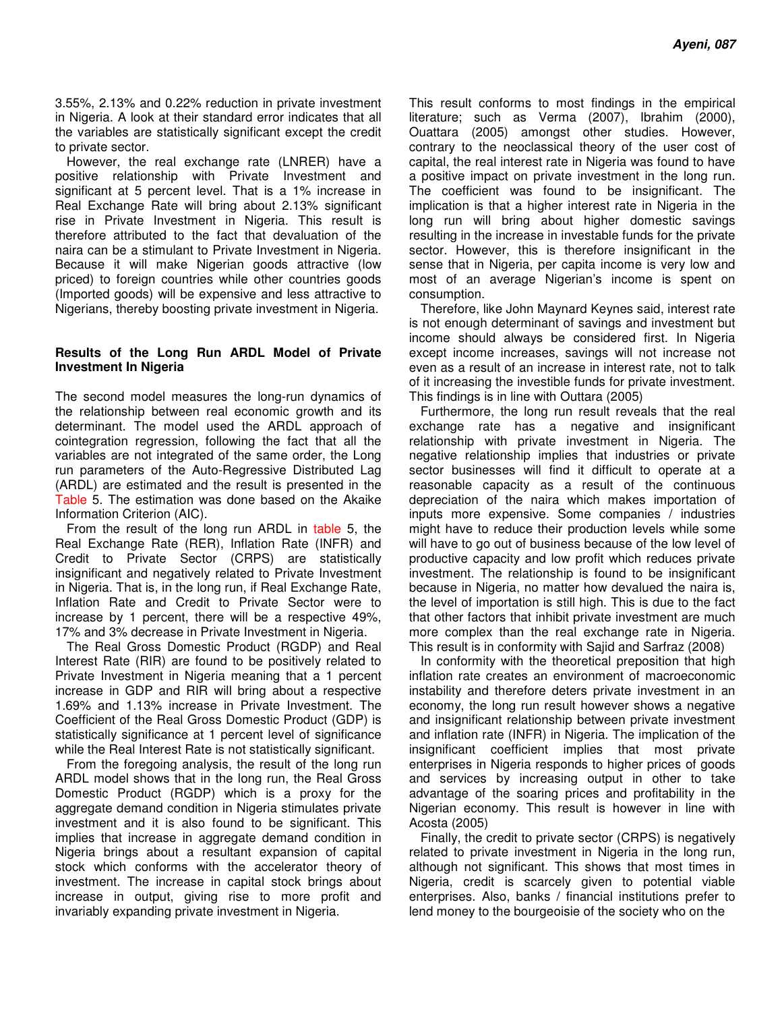3.55%, 2.13% and 0.22% reduction in private investment in Nigeria. A look at their standard error indicates that all the variables are statistically significant except the credit to private sector.

However, the real exchange rate (LNRER) have a positive relationship with Private Investment and significant at 5 percent level. That is a 1% increase in Real Exchange Rate will bring about 2.13% significant rise in Private Investment in Nigeria. This result is therefore attributed to the fact that devaluation of the naira can be a stimulant to Private Investment in Nigeria. Because it will make Nigerian goods attractive (low priced) to foreign countries while other countries goods (Imported goods) will be expensive and less attractive to Nigerians, thereby boosting private investment in Nigeria.

## **Results of the Long Run ARDL Model of Private Investment In Nigeria**

The second model measures the long-run dynamics of the relationship between real economic growth and its determinant. The model used the ARDL approach of cointegration regression, following the fact that all the variables are not integrated of the same order, the Long run parameters of the Auto-Regressive Distributed Lag (ARDL) are estimated and the result is presented in the Table 5. The estimation was done based on the Akaike Information Criterion (AIC).

From the result of the long run ARDL in table 5, the Real Exchange Rate (RER), Inflation Rate (INFR) and Credit to Private Sector (CRPS) are statistically insignificant and negatively related to Private Investment in Nigeria. That is, in the long run, if Real Exchange Rate, Inflation Rate and Credit to Private Sector were to increase by 1 percent, there will be a respective 49%, 17% and 3% decrease in Private Investment in Nigeria.

The Real Gross Domestic Product (RGDP) and Real Interest Rate (RIR) are found to be positively related to Private Investment in Nigeria meaning that a 1 percent increase in GDP and RIR will bring about a respective 1.69% and 1.13% increase in Private Investment. The Coefficient of the Real Gross Domestic Product (GDP) is statistically significance at 1 percent level of significance while the Real Interest Rate is not statistically significant.

From the foregoing analysis, the result of the long run ARDL model shows that in the long run, the Real Gross Domestic Product (RGDP) which is a proxy for the aggregate demand condition in Nigeria stimulates private investment and it is also found to be significant. This implies that increase in aggregate demand condition in Nigeria brings about a resultant expansion of capital stock which conforms with the accelerator theory of investment. The increase in capital stock brings about increase in output, giving rise to more profit and invariably expanding private investment in Nigeria.

This result conforms to most findings in the empirical literature; such as Verma (2007), Ibrahim (2000), Ouattara (2005) amongst other studies. However, contrary to the neoclassical theory of the user cost of capital, the real interest rate in Nigeria was found to have a positive impact on private investment in the long run. The coefficient was found to be insignificant. The implication is that a higher interest rate in Nigeria in the long run will bring about higher domestic savings resulting in the increase in investable funds for the private sector. However, this is therefore insignificant in the sense that in Nigeria, per capita income is very low and most of an average Nigerian's income is spent on consumption.

Therefore, like John Maynard Keynes said, interest rate is not enough determinant of savings and investment but income should always be considered first. In Nigeria except income increases, savings will not increase not even as a result of an increase in interest rate, not to talk of it increasing the investible funds for private investment. This findings is in line with Outtara (2005)

Furthermore, the long run result reveals that the real exchange rate has a negative and insignificant relationship with private investment in Nigeria. The negative relationship implies that industries or private sector businesses will find it difficult to operate at a reasonable capacity as a result of the continuous depreciation of the naira which makes importation of inputs more expensive. Some companies / industries might have to reduce their production levels while some will have to go out of business because of the low level of productive capacity and low profit which reduces private investment. The relationship is found to be insignificant because in Nigeria, no matter how devalued the naira is, the level of importation is still high. This is due to the fact that other factors that inhibit private investment are much more complex than the real exchange rate in Nigeria. This result is in conformity with Sajid and Sarfraz (2008)

In conformity with the theoretical preposition that high inflation rate creates an environment of macroeconomic instability and therefore deters private investment in an economy, the long run result however shows a negative and insignificant relationship between private investment and inflation rate (INFR) in Nigeria. The implication of the insignificant coefficient implies that most private enterprises in Nigeria responds to higher prices of goods and services by increasing output in other to take advantage of the soaring prices and profitability in the Nigerian economy. This result is however in line with Acosta (2005)

Finally, the credit to private sector (CRPS) is negatively related to private investment in Nigeria in the long run, although not significant. This shows that most times in Nigeria, credit is scarcely given to potential viable enterprises. Also, banks / financial institutions prefer to lend money to the bourgeoisie of the society who on the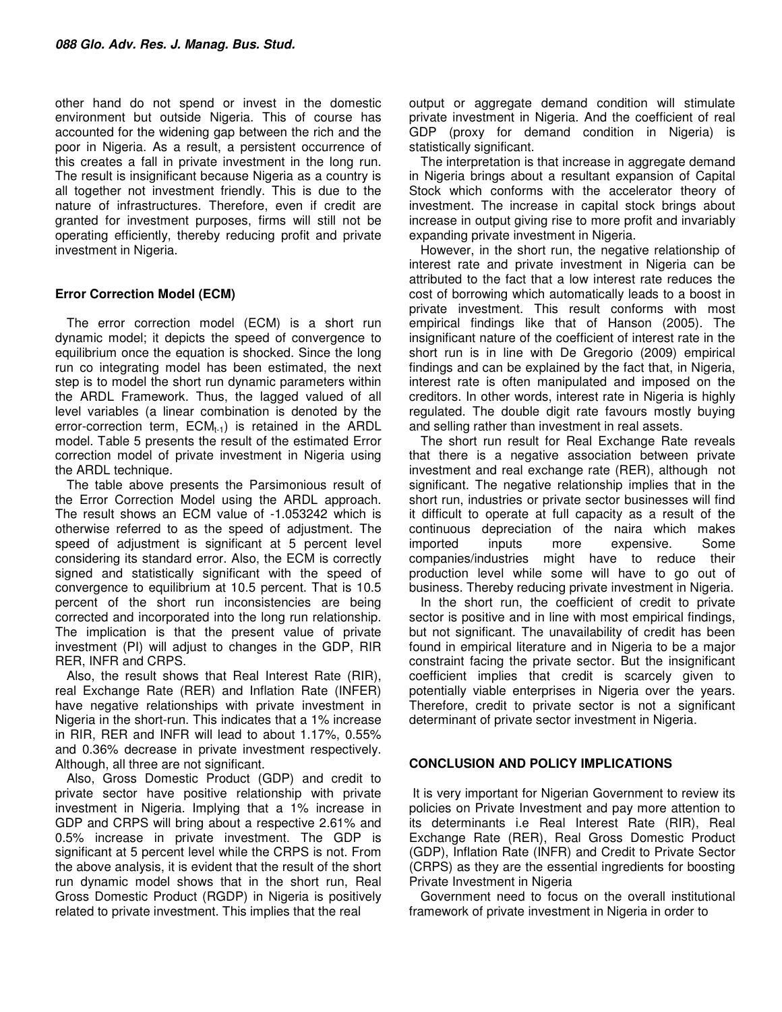other hand do not spend or invest in the domestic environment but outside Nigeria. This of course has accounted for the widening gap between the rich and the poor in Nigeria. As a result, a persistent occurrence of this creates a fall in private investment in the long run. The result is insignificant because Nigeria as a country is all together not investment friendly. This is due to the nature of infrastructures. Therefore, even if credit are granted for investment purposes, firms will still not be operating efficiently, thereby reducing profit and private investment in Nigeria.

# **Error Correction Model (ECM)**

The error correction model (ECM) is a short run dynamic model; it depicts the speed of convergence to equilibrium once the equation is shocked. Since the long run co integrating model has been estimated, the next step is to model the short run dynamic parameters within the ARDL Framework. Thus, the lagged valued of all level variables (a linear combination is denoted by the error-correction term,  $ECM_{t-1}$ ) is retained in the ARDL model. Table 5 presents the result of the estimated Error correction model of private investment in Nigeria using the ARDL technique.

The table above presents the Parsimonious result of the Error Correction Model using the ARDL approach. The result shows an ECM value of -1.053242 which is otherwise referred to as the speed of adjustment. The speed of adjustment is significant at 5 percent level considering its standard error. Also, the ECM is correctly signed and statistically significant with the speed of convergence to equilibrium at 10.5 percent. That is 10.5 percent of the short run inconsistencies are being corrected and incorporated into the long run relationship. The implication is that the present value of private investment (PI) will adjust to changes in the GDP, RIR RER, INFR and CRPS.

Also, the result shows that Real Interest Rate (RIR), real Exchange Rate (RER) and Inflation Rate (INFER) have negative relationships with private investment in Nigeria in the short-run. This indicates that a 1% increase in RIR, RER and INFR will lead to about 1.17%, 0.55% and 0.36% decrease in private investment respectively. Although, all three are not significant.

Also, Gross Domestic Product (GDP) and credit to private sector have positive relationship with private investment in Nigeria. Implying that a 1% increase in GDP and CRPS will bring about a respective 2.61% and 0.5% increase in private investment. The GDP is significant at 5 percent level while the CRPS is not. From the above analysis, it is evident that the result of the short run dynamic model shows that in the short run, Real Gross Domestic Product (RGDP) in Nigeria is positively related to private investment. This implies that the real

output or aggregate demand condition will stimulate private investment in Nigeria. And the coefficient of real GDP (proxy for demand condition in Nigeria) is statistically significant.

The interpretation is that increase in aggregate demand in Nigeria brings about a resultant expansion of Capital Stock which conforms with the accelerator theory of investment. The increase in capital stock brings about increase in output giving rise to more profit and invariably expanding private investment in Nigeria.

However, in the short run, the negative relationship of interest rate and private investment in Nigeria can be attributed to the fact that a low interest rate reduces the cost of borrowing which automatically leads to a boost in private investment. This result conforms with most empirical findings like that of Hanson (2005). The insignificant nature of the coefficient of interest rate in the short run is in line with De Gregorio (2009) empirical findings and can be explained by the fact that, in Nigeria, interest rate is often manipulated and imposed on the creditors. In other words, interest rate in Nigeria is highly regulated. The double digit rate favours mostly buying and selling rather than investment in real assets.

The short run result for Real Exchange Rate reveals that there is a negative association between private investment and real exchange rate (RER), although not significant. The negative relationship implies that in the short run, industries or private sector businesses will find it difficult to operate at full capacity as a result of the continuous depreciation of the naira which makes imported inputs more expensive. Some companies/industries might have to reduce their production level while some will have to go out of business. Thereby reducing private investment in Nigeria.

In the short run, the coefficient of credit to private sector is positive and in line with most empirical findings, but not significant. The unavailability of credit has been found in empirical literature and in Nigeria to be a major constraint facing the private sector. But the insignificant coefficient implies that credit is scarcely given to potentially viable enterprises in Nigeria over the years. Therefore, credit to private sector is not a significant determinant of private sector investment in Nigeria.

# **CONCLUSION AND POLICY IMPLICATIONS**

 It is very important for Nigerian Government to review its policies on Private Investment and pay more attention to its determinants i.e Real Interest Rate (RIR), Real Exchange Rate (RER), Real Gross Domestic Product (GDP), Inflation Rate (INFR) and Credit to Private Sector (CRPS) as they are the essential ingredients for boosting Private Investment in Nigeria

Government need to focus on the overall institutional framework of private investment in Nigeria in order to